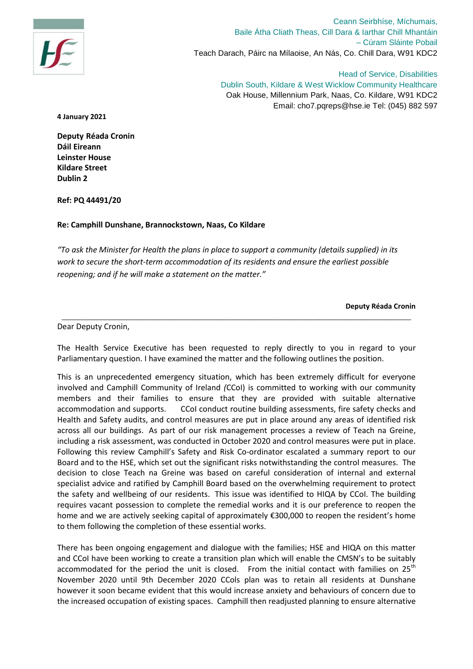

Ceann Seirbhíse, Míchumais, Baile Átha Cliath Theas, Cill Dara & Iarthar Chill Mhantáin – Cúram Sláinte Pobail Teach Darach, Páirc na Mílaoise, An Nás, Co. Chill Dara, W91 KDC2

Head of Service, Disabilities Dublin South, Kildare & West Wicklow Community Healthcare Oak House, Millennium Park, Naas, Co. Kildare, W91 KDC2 Email: cho7.pqreps@hse.ie Tel: (045) 882 597

**4 January 2021**

**Deputy Réada Cronin Dáil Eireann Leinster House Kildare Street Dublin 2**

**Ref: PQ 44491/20** 

## **Re: Camphill Dunshane, Brannockstown, Naas, Co Kildare**

*"To ask the Minister for Health the plans in place to support a community (details supplied) in its work to secure the short-term accommodation of its residents and ensure the earliest possible reopening; and if he will make a statement on the matter."*

**Deputy Réada Cronin**

## Dear Deputy Cronin,

The Health Service Executive has been requested to reply directly to you in regard to your Parliamentary question. I have examined the matter and the following outlines the position.

\_\_\_\_\_\_\_\_\_\_\_\_\_\_\_\_\_\_\_\_\_\_\_\_\_\_\_\_\_\_\_\_\_\_\_\_\_\_\_\_\_\_\_\_\_\_\_\_\_\_\_\_\_\_\_\_\_\_\_\_\_\_\_\_\_\_\_\_\_\_\_\_\_\_\_\_\_\_\_\_

This is an unprecedented emergency situation, which has been extremely difficult for everyone involved and Camphill Community of Ireland *(*CCoI) is committed to working with our community members and their families to ensure that they are provided with suitable alternative accommodation and supports. CCoI conduct routine building assessments, fire safety checks and Health and Safety audits, and control measures are put in place around any areas of identified risk across all our buildings. As part of our risk management processes a review of Teach na Greine, including a risk assessment, was conducted in October 2020 and control measures were put in place. Following this review Camphill's Safety and Risk Co-ordinator escalated a summary report to our Board and to the HSE, which set out the significant risks notwithstanding the control measures. The decision to close Teach na Greine was based on careful consideration of internal and external specialist advice and ratified by Camphill Board based on the overwhelming requirement to protect the safety and wellbeing of our residents. This issue was identified to HIQA by CCoI. The building requires vacant possession to complete the remedial works and it is our preference to reopen the home and we are actively seeking capital of approximately €300,000 to reopen the resident's home to them following the completion of these essential works.

There has been ongoing engagement and dialogue with the families; HSE and HIQA on this matter and CCoI have been working to create a transition plan which will enable the CMSN's to be suitably accommodated for the period the unit is closed. From the initial contact with families on  $25<sup>th</sup>$ November 2020 until 9th December 2020 CCols plan was to retain all residents at Dunshane however it soon became evident that this would increase anxiety and behaviours of concern due to the increased occupation of existing spaces. Camphill then readjusted planning to ensure alternative